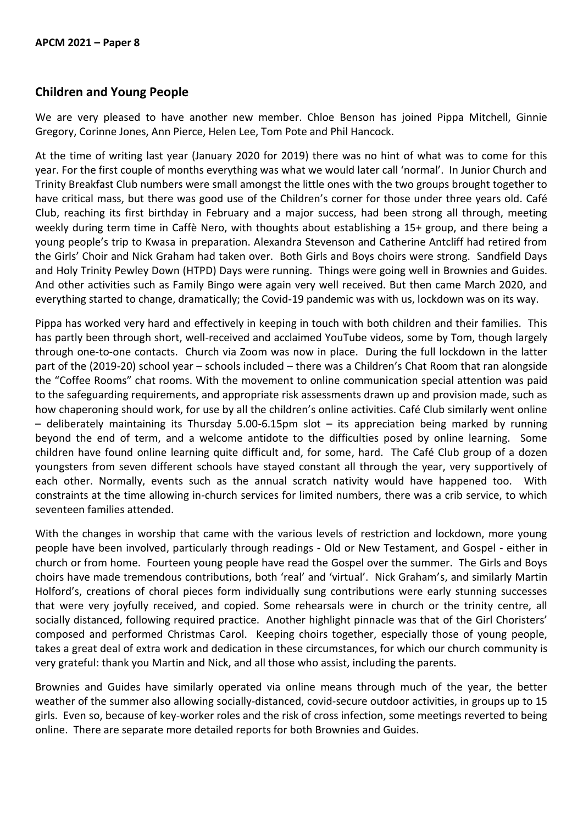## **Children and Young People**

We are very pleased to have another new member. Chloe Benson has joined Pippa Mitchell, Ginnie Gregory, Corinne Jones, Ann Pierce, Helen Lee, Tom Pote and Phil Hancock.

At the time of writing last year (January 2020 for 2019) there was no hint of what was to come for this year. For the first couple of months everything was what we would later call 'normal'. In Junior Church and Trinity Breakfast Club numbers were small amongst the little ones with the two groups brought together to have critical mass, but there was good use of the Children's corner for those under three years old. Café Club, reaching its first birthday in February and a major success, had been strong all through, meeting weekly during term time in Caffè Nero, with thoughts about establishing a 15+ group, and there being a young people's trip to Kwasa in preparation. Alexandra Stevenson and Catherine Antcliff had retired from the Girls' Choir and Nick Graham had taken over. Both Girls and Boys choirs were strong. Sandfield Days and Holy Trinity Pewley Down (HTPD) Days were running. Things were going well in Brownies and Guides. And other activities such as Family Bingo were again very well received. But then came March 2020, and everything started to change, dramatically; the Covid-19 pandemic was with us, lockdown was on its way.

Pippa has worked very hard and effectively in keeping in touch with both children and their families. This has partly been through short, well-received and acclaimed YouTube videos, some by Tom, though largely through one-to-one contacts. Church via Zoom was now in place. During the full lockdown in the latter part of the (2019-20) school year – schools included – there was a Children's Chat Room that ran alongside the "Coffee Rooms" chat rooms. With the movement to online communication special attention was paid to the safeguarding requirements, and appropriate risk assessments drawn up and provision made, such as how chaperoning should work, for use by all the children's online activities. Café Club similarly went online – deliberately maintaining its Thursday 5.00-6.15pm slot – its appreciation being marked by running beyond the end of term, and a welcome antidote to the difficulties posed by online learning. Some children have found online learning quite difficult and, for some, hard. The Café Club group of a dozen youngsters from seven different schools have stayed constant all through the year, very supportively of each other. Normally, events such as the annual scratch nativity would have happened too. With constraints at the time allowing in-church services for limited numbers, there was a crib service, to which seventeen families attended.

With the changes in worship that came with the various levels of restriction and lockdown, more young people have been involved, particularly through readings - Old or New Testament, and Gospel - either in church or from home. Fourteen young people have read the Gospel over the summer. The Girls and Boys choirs have made tremendous contributions, both 'real' and 'virtual'. Nick Graham's, and similarly Martin Holford's, creations of choral pieces form individually sung contributions were early stunning successes that were very joyfully received, and copied. Some rehearsals were in church or the trinity centre, all socially distanced, following required practice. Another highlight pinnacle was that of the Girl Choristers' composed and performed Christmas Carol. Keeping choirs together, especially those of young people, takes a great deal of extra work and dedication in these circumstances, for which our church community is very grateful: thank you Martin and Nick, and all those who assist, including the parents.

Brownies and Guides have similarly operated via online means through much of the year, the better weather of the summer also allowing socially-distanced, covid-secure outdoor activities, in groups up to 15 girls. Even so, because of key-worker roles and the risk of cross infection, some meetings reverted to being online. There are separate more detailed reports for both Brownies and Guides.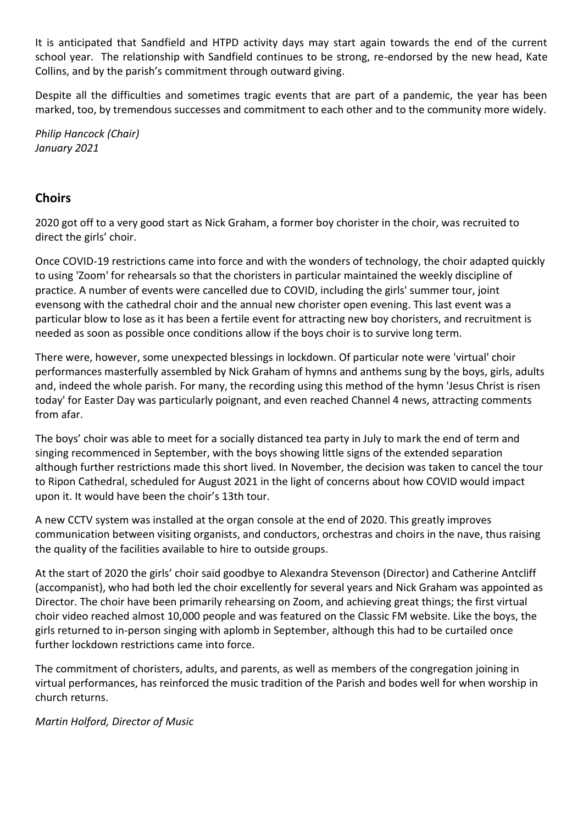It is anticipated that Sandfield and HTPD activity days may start again towards the end of the current school year. The relationship with Sandfield continues to be strong, re-endorsed by the new head, Kate Collins, and by the parish's commitment through outward giving.

Despite all the difficulties and sometimes tragic events that are part of a pandemic, the year has been marked, too, by tremendous successes and commitment to each other and to the community more widely.

*Philip Hancock (Chair) January 2021*

## **Choirs**

2020 got off to a very good start as Nick Graham, a former boy chorister in the choir, was recruited to direct the girls' choir.

Once COVID-19 restrictions came into force and with the wonders of technology, the choir adapted quickly to using 'Zoom' for rehearsals so that the choristers in particular maintained the weekly discipline of practice. A number of events were cancelled due to COVID, including the girls' summer tour, joint evensong with the cathedral choir and the annual new chorister open evening. This last event was a particular blow to lose as it has been a fertile event for attracting new boy choristers, and recruitment is needed as soon as possible once conditions allow if the boys choir is to survive long term.

There were, however, some unexpected blessings in lockdown. Of particular note were 'virtual' choir performances masterfully assembled by Nick Graham of hymns and anthems sung by the boys, girls, adults and, indeed the whole parish. For many, the recording using this method of the hymn 'Jesus Christ is risen today' for Easter Day was particularly poignant, and even reached Channel 4 news, attracting comments from afar.

The boys' choir was able to meet for a socially distanced tea party in July to mark the end of term and singing recommenced in September, with the boys showing little signs of the extended separation although further restrictions made this short lived. In November, the decision was taken to cancel the tour to Ripon Cathedral, scheduled for August 2021 in the light of concerns about how COVID would impact upon it. It would have been the choir's 13th tour.

A new CCTV system was installed at the organ console at the end of 2020. This greatly improves communication between visiting organists, and conductors, orchestras and choirs in the nave, thus raising the quality of the facilities available to hire to outside groups.

At the start of 2020 the girls' choir said goodbye to Alexandra Stevenson (Director) and Catherine Antcliff (accompanist), who had both led the choir excellently for several years and Nick Graham was appointed as Director. The choir have been primarily rehearsing on Zoom, and achieving great things; the first virtual choir video reached almost 10,000 people and was featured on the Classic FM website. Like the boys, the girls returned to in-person singing with aplomb in September, although this had to be curtailed once further lockdown restrictions came into force.

The commitment of choristers, adults, and parents, as well as members of the congregation joining in virtual performances, has reinforced the music tradition of the Parish and bodes well for when worship in church returns.

*Martin Holford, Director of Music*